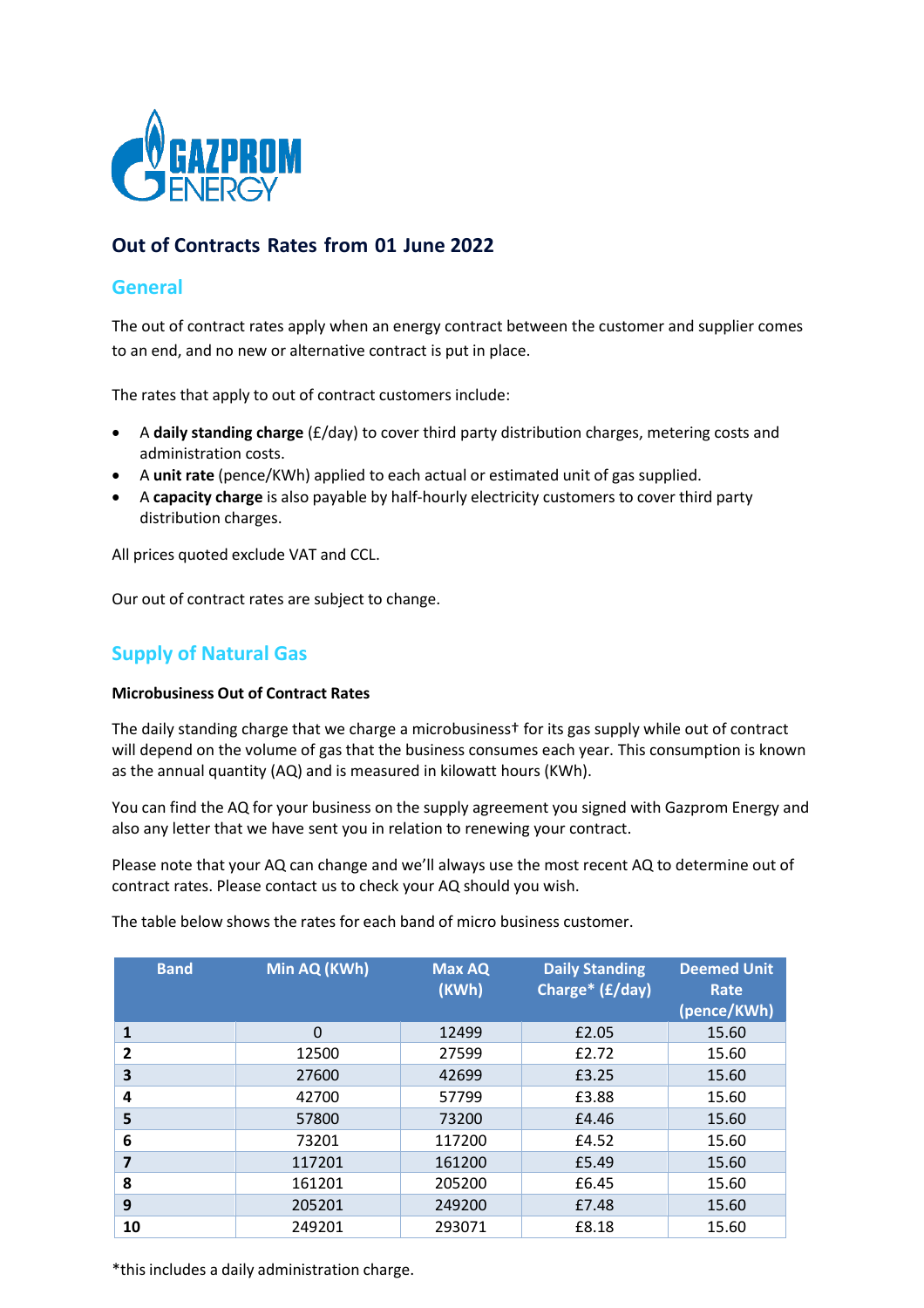

# **Out of Contracts Rates from 01 June 2022**

## **General**

The out of contract rates apply when an energy contract between the customer and supplier comes to an end, and no new or alternative contract is put in place.

The rates that apply to out of contract customers include:

- A **daily standing charge** (£/day) to cover third party distribution charges, metering costs and administration costs.
- A **unit rate** (pence/KWh) applied to each actual or estimated unit of gas supplied.
- A **capacity charge** is also payable by half‐hourly electricity customers to cover third party distribution charges.

All prices quoted exclude VAT and CCL.

Our out of contract rates are subject to change.

## **Supply of Natural Gas**

### **Microbusiness Out of Contract Rates**

The daily standing charge that we charge a microbusiness† for its gas supply while out of contract will depend on the volume of gas that the business consumes each year. This consumption is known as the annual quantity (AQ) and is measured in kilowatt hours (KWh).

You can find the AQ for your business on the supply agreement you signed with Gazprom Energy and also any letter that we have sent you in relation to renewing your contract.

Please note that your AQ can change and we'll always use the most recent AQ to determine out of contract rates. Please contact us to check your AQ should you wish.

| <b>Band</b>             | Min AQ (KWh) | <b>Max AQ</b><br>(KWh) | <b>Daily Standing</b><br>Charge* (£/day) | <b>Deemed Unit</b><br>Rate<br>(pence/KWh) |
|-------------------------|--------------|------------------------|------------------------------------------|-------------------------------------------|
| 1                       | 0            | 12499                  | £2.05                                    | 15.60                                     |
| $\overline{2}$          | 12500        | 27599                  | £2.72                                    | 15.60                                     |
| 3                       | 27600        | 42699                  | £3.25                                    | 15.60                                     |
| 4                       | 42700        | 57799                  | £3.88                                    | 15.60                                     |
| 5                       | 57800        | 73200                  | £4.46                                    | 15.60                                     |
| 6                       | 73201        | 117200                 | £4.52                                    | 15.60                                     |
| $\overline{\mathbf{z}}$ | 117201       | 161200                 | £5.49                                    | 15.60                                     |
| 8                       | 161201       | 205200                 | £6.45                                    | 15.60                                     |
| 9                       | 205201       | 249200                 | £7.48                                    | 15.60                                     |
| 10                      | 249201       | 293071                 | £8.18                                    | 15.60                                     |

The table below shows the rates for each band of micro business customer.

\*this includes a daily administration charge.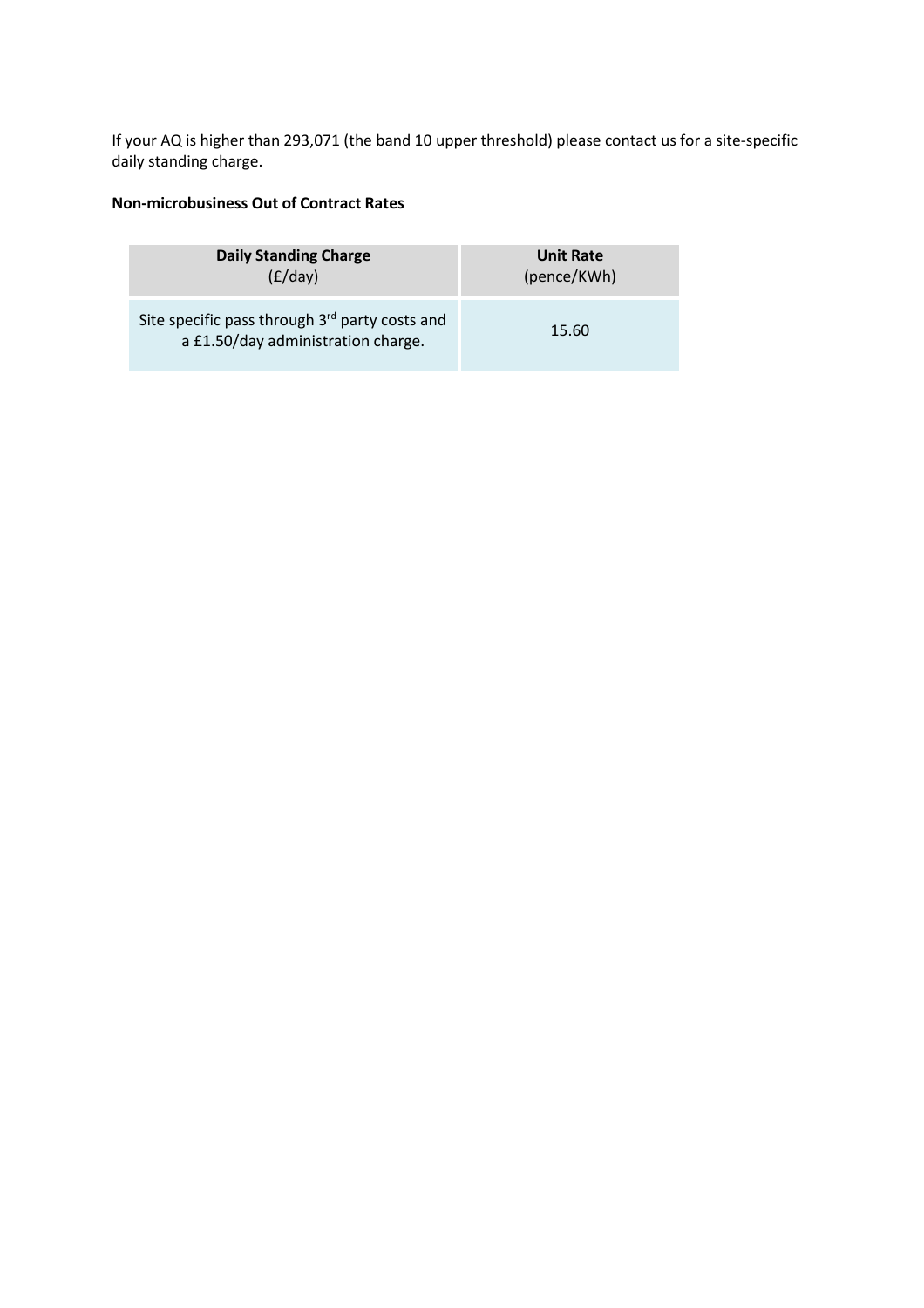If your AQ is higher than 293,071 (the band 10 upper threshold) please contact us for a site-specific daily standing charge.

## **Non‐microbusiness Out of Contract Rates**

| <b>Daily Standing Charge</b>                                                                     | <b>Unit Rate</b> |  |
|--------------------------------------------------------------------------------------------------|------------------|--|
| (E/day)                                                                                          | (pence/KWh)      |  |
| Site specific pass through 3 <sup>rd</sup> party costs and<br>a £1.50/day administration charge. | 15.60            |  |